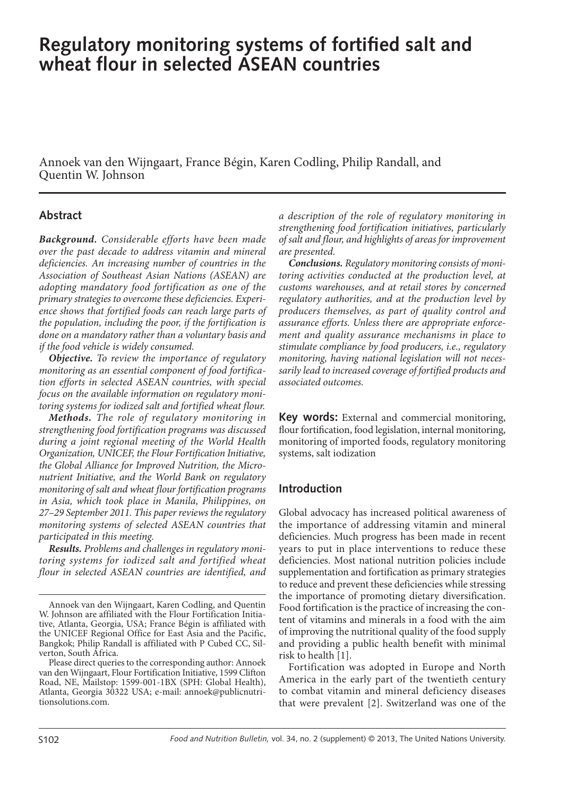# **Regulatory monitoring systems of fortified salt and wheat flour in selected ASEAN countries**

Annoek van den Wijngaart, France Bégin, Karen Codling, Philip Randall, and Quentin W. Johnson

# **Abstract**

*Background. Considerable efforts have been made over the past decade to address vitamin and mineral deficiencies. An increasing number of countries in the Association of Southeast Asian Nations (ASEAN) are adopting mandatory food fortification as one of the primary strategies to overcome these deficiencies. Experience shows that fortified foods can reach large parts of the population, including the poor, if the fortification is done on a mandatory rather than a voluntary basis and if the food vehicle is widely consumed.* 

*Objective. To review the importance of regulatory monitoring as an essential component of food fortification efforts in selected ASEAN countries, with special focus on the available information on regulatory monitoring systems for iodized salt and fortified wheat flour.*

*Methods. The role of regulatory monitoring in strengthening food fortification programs was discussed during a joint regional meeting of the World Health Organization, UNICEF, the Flour Fortification Initiative, the Global Alliance for Improved Nutrition, the Micronutrient Initiative, and the World Bank on regulatory monitoring of salt and wheat flour fortification programs in Asia, which took place in Manila, Philippines, on 27–29 September 2011. This paper reviews the regulatory monitoring systems of selected ASEAN countries that participated in this meeting.*

*Results. Problems and challenges in regulatory monitoring systems for iodized salt and fortified wheat flour in selected ASEAN countries are identified, and* 

Please direct queries to the corresponding author: Annoek van den Wijngaart, Flour Fortification Initiative, 1599 Clifton Road, NE, Mailstop: 1599-001-1BX (SPH: Global Health), Atlanta, Georgia 30322 USA; e-mail: annoek@publicnutritionsolutions.com.

*a description of the role of regulatory monitoring in strengthening food fortification initiatives, particularly of salt and flour, and highlights of areas for improvement are presented.*

*Conclusions. Regulatory monitoring consists of monitoring activities conducted at the production level, at customs warehouses, and at retail stores by concerned regulatory authorities, and at the production level by producers themselves, as part of quality control and assurance efforts. Unless there are appropriate enforcement and quality assurance mechanisms in place to stimulate compliance by food producers, i.e., regulatory monitoring, having national legislation will not necessarily lead to increased coverage of fortified products and associated outcomes.* 

**Key words:** External and commercial monitoring, flour fortification, food legislation, internal monitoring, monitoring of imported foods, regulatory monitoring systems, salt iodization

# **Introduction**

Global advocacy has increased political awareness of the importance of addressing vitamin and mineral deficiencies. Much progress has been made in recent years to put in place interventions to reduce these deficiencies. Most national nutrition policies include supplementation and fortification as primary strategies to reduce and prevent these deficiencies while stressing the importance of promoting dietary diversification. Food fortification is the practice of increasing the content of vitamins and minerals in a food with the aim of improving the nutritional quality of the food supply and providing a public health benefit with minimal risk to health [1].

Fortification was adopted in Europe and North America in the early part of the twentieth century to combat vitamin and mineral deficiency diseases that were prevalent [2]. Switzerland was one of the

Annoek van den Wijngaart, Karen Codling, and Quentin W. Johnson are affiliated with the Flour Fortification Initiative, Atlanta, Georgia, USA; France Bégin is affiliated with the UNICEF Regional Office for East Asia and the Pacific, Bangkok; Philip Randall is affiliated with P Cubed CC, Silverton, South Africa.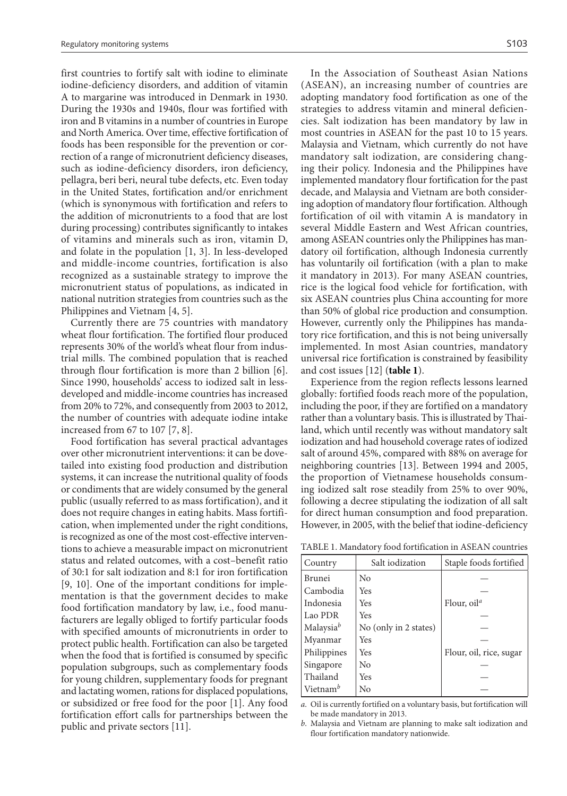first countries to fortify salt with iodine to eliminate iodine-deficiency disorders, and addition of vitamin A to margarine was introduced in Denmark in 1930. During the 1930s and 1940s, flour was fortified with iron and B vitamins in a number of countries in Europe and North America. Over time, effective fortification of foods has been responsible for the prevention or correction of a range of micronutrient deficiency diseases, such as iodine-deficiency disorders, iron deficiency, pellagra, beri beri, neural tube defects, etc. Even today in the United States, fortification and/or enrichment (which is synonymous with fortification and refers to the addition of micronutrients to a food that are lost during processing) contributes significantly to intakes of vitamins and minerals such as iron, vitamin D, and folate in the population [1, 3]. In less-developed and middle-income countries, fortification is also recognized as a sustainable strategy to improve the micronutrient status of populations, as indicated in national nutrition strategies from countries such as the Philippines and Vietnam [4, 5].

Currently there are 75 countries with mandatory wheat flour fortification. The fortified flour produced represents 30% of the world's wheat flour from industrial mills. The combined population that is reached through flour fortification is more than 2 billion [6]. Since 1990, households' access to iodized salt in lessdeveloped and middle-income countries has increased from 20% to 72%, and consequently from 2003 to 2012, the number of countries with adequate iodine intake increased from 67 to 107 [7, 8].

Food fortification has several practical advantages over other micronutrient interventions: it can be dovetailed into existing food production and distribution systems, it can increase the nutritional quality of foods or condiments that are widely consumed by the general public (usually referred to as mass fortification), and it does not require changes in eating habits. Mass fortification, when implemented under the right conditions, is recognized as one of the most cost-effective interventions to achieve a measurable impact on micronutrient status and related outcomes, with a cost–benefit ratio of 30:1 for salt iodization and 8:1 for iron fortification [9, 10]. One of the important conditions for implementation is that the government decides to make food fortification mandatory by law, i.e., food manufacturers are legally obliged to fortify particular foods with specified amounts of micronutrients in order to protect public health. Fortification can also be targeted when the food that is fortified is consumed by specific population subgroups, such as complementary foods for young children, supplementary foods for pregnant and lactating women, rations for displaced populations, or subsidized or free food for the poor [1]. Any food fortification effort calls for partnerships between the public and private sectors [11].

In the Association of Southeast Asian Nations (ASEAN), an increasing number of countries are adopting mandatory food fortification as one of the strategies to address vitamin and mineral deficiencies. Salt iodization has been mandatory by law in most countries in ASEAN for the past 10 to 15 years. Malaysia and Vietnam, which currently do not have mandatory salt iodization, are considering changing their policy. Indonesia and the Philippines have implemented mandatory flour fortification for the past decade, and Malaysia and Vietnam are both considering adoption of mandatory flour fortification. Although fortification of oil with vitamin A is mandatory in several Middle Eastern and West African countries, among ASEAN countries only the Philippines has mandatory oil fortification, although Indonesia currently has voluntarily oil fortification (with a plan to make it mandatory in 2013). For many ASEAN countries, rice is the logical food vehicle for fortification, with six ASEAN countries plus China accounting for more than 50% of global rice production and consumption. However, currently only the Philippines has mandatory rice fortification, and this is not being universally implemented. In most Asian countries, mandatory universal rice fortification is constrained by feasibility and cost issues [12] (**table 1**).

Experience from the region reflects lessons learned globally: fortified foods reach more of the population, including the poor, if they are fortified on a mandatory rather than a voluntary basis. This is illustrated by Thailand, which until recently was without mandatory salt iodization and had household coverage rates of iodized salt of around 45%, compared with 88% on average for neighboring countries [13]. Between 1994 and 2005, the proportion of Vietnamese households consuming iodized salt rose steadily from 25% to over 90%, following a decree stipulating the iodization of all salt for direct human consumption and food preparation. However, in 2005, with the belief that iodine-deficiency

| TABLE 1. Mandatory food fortification in ASEAN countries |  |
|----------------------------------------------------------|--|
|----------------------------------------------------------|--|

| Salt iodization       | Staple foods fortified  |
|-----------------------|-------------------------|
| No                    |                         |
| Yes                   |                         |
| Yes                   | Flour, $oil^a$          |
| Yes                   |                         |
| No (only in 2 states) |                         |
| Yes                   |                         |
| Yes                   | Flour, oil, rice, sugar |
| N <sub>0</sub>        |                         |
| Yes                   |                         |
| No                    |                         |
|                       |                         |

*a*. Oil is currently fortified on a voluntary basis, but fortification will be made mandatory in 2013.

*b*. Malaysia and Vietnam are planning to make salt iodization and flour fortification mandatory nationwide.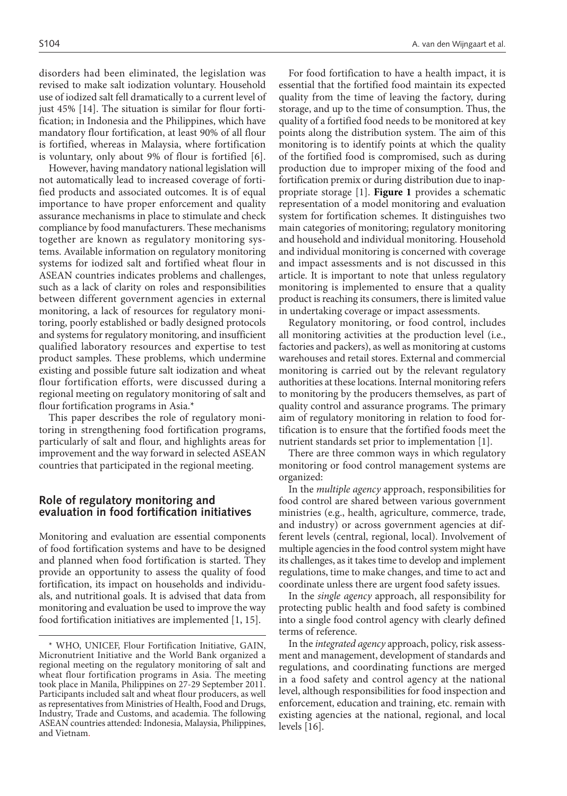disorders had been eliminated, the legislation was revised to make salt iodization voluntary. Household use of iodized salt fell dramatically to a current level of just 45% [14]. The situation is similar for flour fortification; in Indonesia and the Philippines, which have mandatory flour fortification, at least 90% of all flour is fortified, whereas in Malaysia, where fortification is voluntary, only about 9% of flour is fortified [6].

However, having mandatory national legislation will not automatically lead to increased coverage of fortified products and associated outcomes. It is of equal importance to have proper enforcement and quality assurance mechanisms in place to stimulate and check compliance by food manufacturers. These mechanisms together are known as regulatory monitoring systems. Available information on regulatory monitoring systems for iodized salt and fortified wheat flour in ASEAN countries indicates problems and challenges, such as a lack of clarity on roles and responsibilities between different government agencies in external monitoring, a lack of resources for regulatory monitoring, poorly established or badly designed protocols and systems for regulatory monitoring, and insufficient qualified laboratory resources and expertise to test product samples. These problems, which undermine existing and possible future salt iodization and wheat flour fortification efforts, were discussed during a regional meeting on regulatory monitoring of salt and flour fortification programs in Asia.\*

This paper describes the role of regulatory monitoring in strengthening food fortification programs, particularly of salt and flour, and highlights areas for improvement and the way forward in selected ASEAN countries that participated in the regional meeting.

# **Role of regulatory monitoring and evaluation in food fortification initiatives**

Monitoring and evaluation are essential components of food fortification systems and have to be designed and planned when food fortification is started. They provide an opportunity to assess the quality of food fortification, its impact on households and individuals, and nutritional goals. It is advised that data from monitoring and evaluation be used to improve the way food fortification initiatives are implemented [1, 15].

For food fortification to have a health impact, it is essential that the fortified food maintain its expected quality from the time of leaving the factory, during storage, and up to the time of consumption. Thus, the quality of a fortified food needs to be monitored at key points along the distribution system. The aim of this monitoring is to identify points at which the quality of the fortified food is compromised, such as during production due to improper mixing of the food and fortification premix or during distribution due to inappropriate storage [1]. **Figure 1** provides a schematic representation of a model monitoring and evaluation system for fortification schemes. It distinguishes two main categories of monitoring; regulatory monitoring and household and individual monitoring. Household and individual monitoring is concerned with coverage and impact assessments and is not discussed in this article. It is important to note that unless regulatory monitoring is implemented to ensure that a quality product is reaching its consumers, there is limited value in undertaking coverage or impact assessments.

Regulatory monitoring, or food control, includes all monitoring activities at the production level (i.e., factories and packers), as well as monitoring at customs warehouses and retail stores. External and commercial monitoring is carried out by the relevant regulatory authorities at these locations. Internal monitoring refers to monitoring by the producers themselves, as part of quality control and assurance programs. The primary aim of regulatory monitoring in relation to food fortification is to ensure that the fortified foods meet the nutrient standards set prior to implementation [1].

There are three common ways in which regulatory monitoring or food control management systems are organized:

In the *multiple agency* approach, responsibilities for food control are shared between various government ministries (e.g., health, agriculture, commerce, trade, and industry) or across government agencies at different levels (central, regional, local). Involvement of multiple agencies in the food control system might have its challenges, as it takes time to develop and implement regulations, time to make changes, and time to act and coordinate unless there are urgent food safety issues.

In the *single agency* approach, all responsibility for protecting public health and food safety is combined into a single food control agency with clearly defined terms of reference.

In the *integrated agency* approach, policy, risk assessment and management, development of standards and regulations, and coordinating functions are merged in a food safety and control agency at the national level, although responsibilities for food inspection and enforcement, education and training, etc. remain with existing agencies at the national, regional, and local levels [16].

<sup>\*</sup> WHO, UNICEF, Flour Fortification Initiative, GAIN, Micronutrient Initiative and the World Bank organized a regional meeting on the regulatory monitoring of salt and wheat flour fortification programs in Asia. The meeting took place in Manila, Philippines on 27-29 September 2011. Participants included salt and wheat flour producers, as well as representatives from Ministries of Health, Food and Drugs, Industry, Trade and Customs, and academia. The following ASEAN countries attended: Indonesia, Malaysia, Philippines, and Vietnam.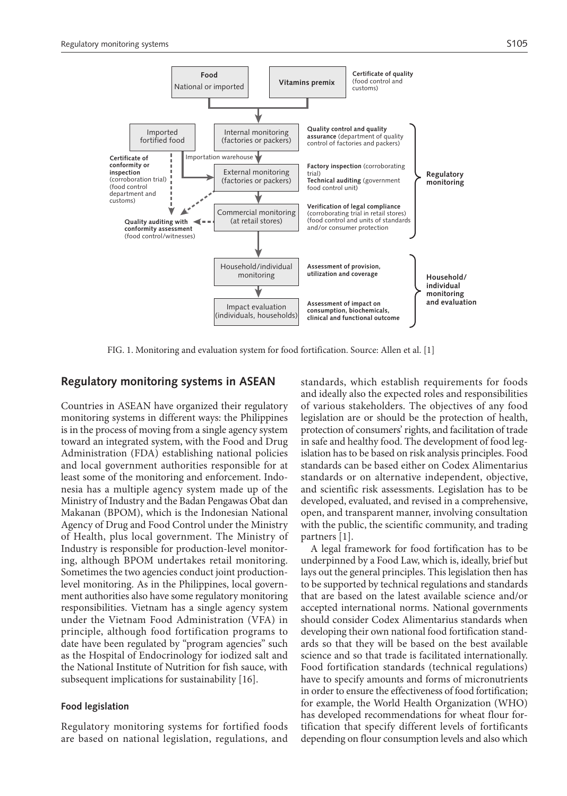

FIG. 1. Monitoring and evaluation system for food fortification. Source: Allen et al. [1]

# **Regulatory monitoring systems in ASEAN**

Countries in ASEAN have organized their regulatory monitoring systems in different ways: the Philippines is in the process of moving from a single agency system toward an integrated system, with the Food and Drug Administration (FDA) establishing national policies and local government authorities responsible for at least some of the monitoring and enforcement. Indonesia has a multiple agency system made up of the Ministry of Industry and the Badan Pengawas Obat dan Makanan (BPOM), which is the Indonesian National Agency of Drug and Food Control under the Ministry of Health, plus local government. The Ministry of Industry is responsible for production-level monitoring, although BPOM undertakes retail monitoring. Sometimes the two agencies conduct joint productionlevel monitoring. As in the Philippines, local government authorities also have some regulatory monitoring responsibilities. Vietnam has a single agency system under the Vietnam Food Administration (VFA) in principle, although food fortification programs to date have been regulated by "program agencies" such as the Hospital of Endocrinology for iodized salt and the National Institute of Nutrition for fish sauce, with subsequent implications for sustainability [16].

## **Food legislation**

Regulatory monitoring systems for fortified foods are based on national legislation, regulations, and standards, which establish requirements for foods and ideally also the expected roles and responsibilities of various stakeholders. The objectives of any food legislation are or should be the protection of health, protection of consumers' rights, and facilitation of trade in safe and healthy food. The development of food legislation has to be based on risk analysis principles. Food standards can be based either on Codex Alimentarius standards or on alternative independent, objective, and scientific risk assessments. Legislation has to be developed, evaluated, and revised in a comprehensive, open, and transparent manner, involving consultation with the public, the scientific community, and trading partners [1].

A legal framework for food fortification has to be underpinned by a Food Law, which is, ideally, brief but lays out the general principles. This legislation then has to be supported by technical regulations and standards that are based on the latest available science and/or accepted international norms. National governments should consider Codex Alimentarius standards when developing their own national food fortification standards so that they will be based on the best available science and so that trade is facilitated internationally. Food fortification standards (technical regulations) have to specify amounts and forms of micronutrients in order to ensure the effectiveness of food fortification; for example, the World Health Organization (WHO) has developed recommendations for wheat flour fortification that specify different levels of fortificants depending on flour consumption levels and also which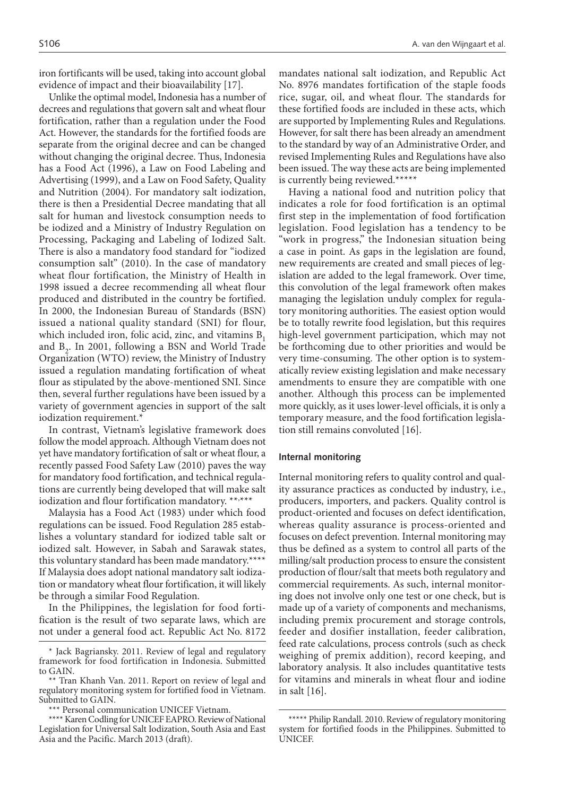iron fortificants will be used, taking into account global evidence of impact and their bioavailability [17].

Unlike the optimal model, Indonesia has a number of decrees and regulations that govern salt and wheat flour fortification, rather than a regulation under the Food Act. However, the standards for the fortified foods are separate from the original decree and can be changed without changing the original decree. Thus, Indonesia has a Food Act (1996), a Law on Food Labeling and Advertising (1999), and a Law on Food Safety, Quality and Nutrition (2004). For mandatory salt iodization, there is then a Presidential Decree mandating that all salt for human and livestock consumption needs to be iodized and a Ministry of Industry Regulation on Processing, Packaging and Labeling of Iodized Salt. There is also a mandatory food standard for "iodized consumption salt" (2010). In the case of mandatory wheat flour fortification, the Ministry of Health in 1998 issued a decree recommending all wheat flour produced and distributed in the country be fortified. In 2000, the Indonesian Bureau of Standards (BSN) issued a national quality standard (SNI) for flour, which included iron, folic acid, zinc, and vitamins  $B_1$ and  $B_2$ . In 2001, following a BSN and World Trade Organization (WTO) review, the Ministry of Industry issued a regulation mandating fortification of wheat flour as stipulated by the above-mentioned SNI. Since then, several further regulations have been issued by a variety of government agencies in support of the salt iodization requirement.\*

In contrast, Vietnam's legislative framework does follow the model approach. Although Vietnam does not yet have mandatory fortification of salt or wheat flour, a recently passed Food Safety Law (2010) paves the way for mandatory food fortification, and technical regulations are currently being developed that will make salt iodization and flour fortification mandatory. \*\*\*\*\*

Malaysia has a Food Act (1983) under which food regulations can be issued. Food Regulation 285 establishes a voluntary standard for iodized table salt or iodized salt. However, in Sabah and Sarawak states, this voluntary standard has been made mandatory.\*\*\*\* If Malaysia does adopt national mandatory salt iodization or mandatory wheat flour fortification, it will likely be through a similar Food Regulation.

In the Philippines, the legislation for food fortification is the result of two separate laws, which are not under a general food act. Republic Act No. 8172 mandates national salt iodization, and Republic Act No. 8976 mandates fortification of the staple foods rice, sugar, oil, and wheat flour. The standards for these fortified foods are included in these acts, which are supported by Implementing Rules and Regulations. However, for salt there has been already an amendment to the standard by way of an Administrative Order, and revised Implementing Rules and Regulations have also been issued. The way these acts are being implemented is currently being reviewed.\*\*\*\*\*

Having a national food and nutrition policy that indicates a role for food fortification is an optimal first step in the implementation of food fortification legislation. Food legislation has a tendency to be "work in progress," the Indonesian situation being a case in point. As gaps in the legislation are found, new requirements are created and small pieces of legislation are added to the legal framework. Over time, this convolution of the legal framework often makes managing the legislation unduly complex for regulatory monitoring authorities. The easiest option would be to totally rewrite food legislation, but this requires high-level government participation, which may not be forthcoming due to other priorities and would be very time-consuming. The other option is to systematically review existing legislation and make necessary amendments to ensure they are compatible with one another. Although this process can be implemented more quickly, as it uses lower-level officials, it is only a temporary measure, and the food fortification legislation still remains convoluted [16].

## **Internal monitoring**

Internal monitoring refers to quality control and quality assurance practices as conducted by industry, i.e., producers, importers, and packers. Quality control is product-oriented and focuses on defect identification, whereas quality assurance is process-oriented and focuses on defect prevention*.* Internal monitoring may thus be defined as a system to control all parts of the milling/salt production process to ensure the consistent production of flour/salt that meets both regulatory and commercial requirements. As such, internal monitoring does not involve only one test or one check, but is made up of a variety of components and mechanisms, including premix procurement and storage controls, feeder and dosifier installation, feeder calibration, feed rate calculations, process controls (such as check weighing of premix addition), record keeping, and laboratory analysis. It also includes quantitative tests for vitamins and minerals in wheat flour and iodine in salt [16].

<sup>\*</sup> Jack Bagriansky. 2011. Review of legal and regulatory framework for food fortification in Indonesia. Submitted to GAIN.

<sup>\*\*</sup> Tran Khanh Van. 2011. Report on review of legal and regulatory monitoring system for fortified food in Vietnam. Submitted to GAIN.

<sup>\*\*\*</sup> Personal communication UNICEF Vietnam.

<sup>\*\*\*\*</sup> Karen Codling for UNICEF EAPRO. Review of National Legislation for Universal Salt Iodization, South Asia and East Asia and the Pacific. March 2013 (draft).

<sup>\*\*\*\*\*</sup> Philip Randall. 2010. Review of regulatory monitoring system for fortified foods in the Philippines. Submitted to **UNICEE**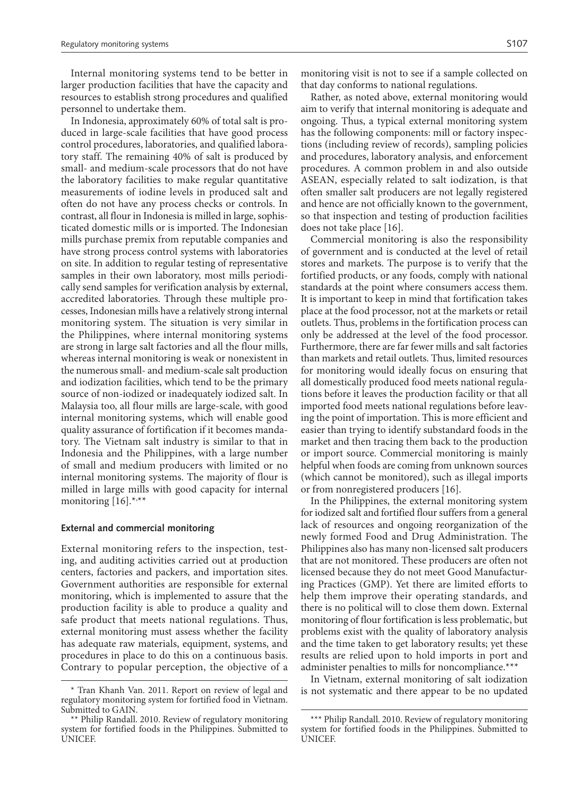Internal monitoring systems tend to be better in larger production facilities that have the capacity and resources to establish strong procedures and qualified personnel to undertake them.

In Indonesia, approximately 60% of total salt is produced in large-scale facilities that have good process control procedures, laboratories, and qualified laboratory staff. The remaining 40% of salt is produced by small- and medium-scale processors that do not have the laboratory facilities to make regular quantitative measurements of iodine levels in produced salt and often do not have any process checks or controls. In contrast, all flour in Indonesia is milled in large, sophisticated domestic mills or is imported. The Indonesian mills purchase premix from reputable companies and have strong process control systems with laboratories on site. In addition to regular testing of representative samples in their own laboratory, most mills periodically send samples for verification analysis by external, accredited laboratories. Through these multiple processes, Indonesian mills have a relatively strong internal monitoring system. The situation is very similar in the Philippines, where internal monitoring systems are strong in large salt factories and all the flour mills, whereas internal monitoring is weak or nonexistent in the numerous small- and medium-scale salt production and iodization facilities, which tend to be the primary source of non-iodized or inadequately iodized salt. In Malaysia too, all flour mills are large-scale, with good internal monitoring systems, which will enable good quality assurance of fortification if it becomes mandatory. The Vietnam salt industry is similar to that in Indonesia and the Philippines, with a large number of small and medium producers with limited or no internal monitoring systems. The majority of flour is milled in large mills with good capacity for internal monitoring [16].\*, \*\*

### **External and commercial monitoring**

External monitoring refers to the inspection, testing, and auditing activities carried out at production centers, factories and packers, and importation sites. Government authorities are responsible for external monitoring, which is implemented to assure that the production facility is able to produce a quality and safe product that meets national regulations. Thus, external monitoring must assess whether the facility has adequate raw materials, equipment, systems, and procedures in place to do this on a continuous basis. Contrary to popular perception, the objective of a monitoring visit is not to see if a sample collected on that day conforms to national regulations.

Rather, as noted above, external monitoring would aim to verify that internal monitoring is adequate and ongoing. Thus, a typical external monitoring system has the following components: mill or factory inspections (including review of records), sampling policies and procedures, laboratory analysis, and enforcement procedures. A common problem in and also outside ASEAN, especially related to salt iodization, is that often smaller salt producers are not legally registered and hence are not officially known to the government, so that inspection and testing of production facilities does not take place [16].

Commercial monitoring is also the responsibility of government and is conducted at the level of retail stores and markets. The purpose is to verify that the fortified products, or any foods, comply with national standards at the point where consumers access them. It is important to keep in mind that fortification takes place at the food processor, not at the markets or retail outlets. Thus, problems in the fortification process can only be addressed at the level of the food processor. Furthermore, there are far fewer mills and salt factories than markets and retail outlets. Thus, limited resources for monitoring would ideally focus on ensuring that all domestically produced food meets national regulations before it leaves the production facility or that all imported food meets national regulations before leaving the point of importation. This is more efficient and easier than trying to identify substandard foods in the market and then tracing them back to the production or import source. Commercial monitoring is mainly helpful when foods are coming from unknown sources (which cannot be monitored), such as illegal imports or from nonregistered producers [16].

In the Philippines, the external monitoring system for iodized salt and fortified flour suffers from a general lack of resources and ongoing reorganization of the newly formed Food and Drug Administration. The Philippines also has many non-licensed salt producers that are not monitored. These producers are often not licensed because they do not meet Good Manufacturing Practices (GMP). Yet there are limited efforts to help them improve their operating standards, and there is no political will to close them down. External monitoring of flour fortification is less problematic, but problems exist with the quality of laboratory analysis and the time taken to get laboratory results; yet these results are relied upon to hold imports in port and administer penalties to mills for noncompliance.\*\*\*

In Vietnam, external monitoring of salt iodization is not systematic and there appear to be no updated

<sup>\*</sup> Tran Khanh Van. 2011. Report on review of legal and regulatory monitoring system for fortified food in Vietnam. Submitted to GAIN.

<sup>\*\*</sup> Philip Randall. 2010. Review of regulatory monitoring system for fortified foods in the Philippines. Submitted to UNICEF.

<sup>\*\*\*</sup> Philip Randall. 2010. Review of regulatory monitoring system for fortified foods in the Philippines. Submitted to UNICEF.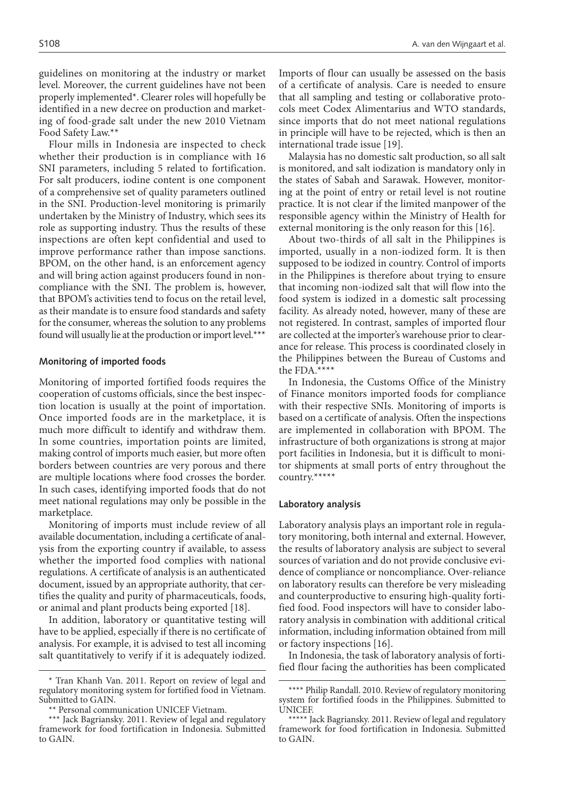guidelines on monitoring at the industry or market level. Moreover, the current guidelines have not been properly implemented\*. Clearer roles will hopefully be identified in a new decree on production and marketing of food-grade salt under the new 2010 Vietnam Food Safety Law.\*\*

Flour mills in Indonesia are inspected to check whether their production is in compliance with 16 SNI parameters, including 5 related to fortification. For salt producers, iodine content is one component of a comprehensive set of quality parameters outlined in the SNI. Production-level monitoring is primarily undertaken by the Ministry of Industry, which sees its role as supporting industry. Thus the results of these inspections are often kept confidential and used to improve performance rather than impose sanctions. BPOM, on the other hand, is an enforcement agency and will bring action against producers found in noncompliance with the SNI. The problem is, however, that BPOM's activities tend to focus on the retail level, as their mandate is to ensure food standards and safety for the consumer, whereas the solution to any problems found will usually lie at the production or import level.\*\*\*

#### **Monitoring of imported foods**

Monitoring of imported fortified foods requires the cooperation of customs officials, since the best inspection location is usually at the point of importation. Once imported foods are in the marketplace, it is much more difficult to identify and withdraw them. In some countries, importation points are limited, making control of imports much easier, but more often borders between countries are very porous and there are multiple locations where food crosses the border. In such cases, identifying imported foods that do not meet national regulations may only be possible in the marketplace.

Monitoring of imports must include review of all available documentation, including a certificate of analysis from the exporting country if available, to assess whether the imported food complies with national regulations. A certificate of analysis is an authenticated document, issued by an appropriate authority, that certifies the quality and purity of pharmaceuticals, foods, or animal and plant products being exported [18].

In addition, laboratory or quantitative testing will have to be applied, especially if there is no certificate of analysis. For example, it is advised to test all incoming salt quantitatively to verify if it is adequately iodized.

Imports of flour can usually be assessed on the basis of a certificate of analysis. Care is needed to ensure that all sampling and testing or collaborative protocols meet Codex Alimentarius and WTO standards, since imports that do not meet national regulations in principle will have to be rejected, which is then an international trade issue [19].

Malaysia has no domestic salt production, so all salt is monitored, and salt iodization is mandatory only in the states of Sabah and Sarawak. However, monitoring at the point of entry or retail level is not routine practice*.* It is not clear if the limited manpower of the responsible agency within the Ministry of Health for external monitoring is the only reason for this [16].

About two-thirds of all salt in the Philippines is imported, usually in a non-iodized form. It is then supposed to be iodized in country. Control of imports in the Philippines is therefore about trying to ensure that incoming non-iodized salt that will flow into the food system is iodized in a domestic salt processing facility. As already noted, however, many of these are not registered. In contrast, samples of imported flour are collected at the importer's warehouse prior to clearance for release. This process is coordinated closely in the Philippines between the Bureau of Customs and the FDA.\*\*\*\*

In Indonesia, the Customs Office of the Ministry of Finance monitors imported foods for compliance with their respective SNIs. Monitoring of imports is based on a certificate of analysis. Often the inspections are implemented in collaboration with BPOM. The infrastructure of both organizations is strong at major port facilities in Indonesia, but it is difficult to monitor shipments at small ports of entry throughout the country.\*\*\*\*\*

## **Laboratory analysis**

Laboratory analysis plays an important role in regulatory monitoring, both internal and external. However, the results of laboratory analysis are subject to several sources of variation and do not provide conclusive evidence of compliance or noncompliance. Over-reliance on laboratory results can therefore be very misleading and counterproductive to ensuring high-quality fortified food. Food inspectors will have to consider laboratory analysis in combination with additional critical information, including information obtained from mill or factory inspections [16].

In Indonesia, the task of laboratory analysis of fortified flour facing the authorities has been complicated

<sup>\*</sup> Tran Khanh Van. 2011. Report on review of legal and regulatory monitoring system for fortified food in Vietnam. Submitted to GAIN.

<sup>\*\*</sup> Personal communication UNICEF Vietnam.

<sup>\*\*\*</sup> Jack Bagriansky. 2011. Review of legal and regulatory framework for food fortification in Indonesia. Submitted to GAIN.

<sup>\*\*\*\*</sup> Philip Randall. 2010. Review of regulatory monitoring system for fortified foods in the Philippines. Submitted to UNICEF.

<sup>\*\*\*\*\*</sup> Jack Bagriansky. 2011. Review of legal and regulatory framework for food fortification in Indonesia. Submitted to GAIN.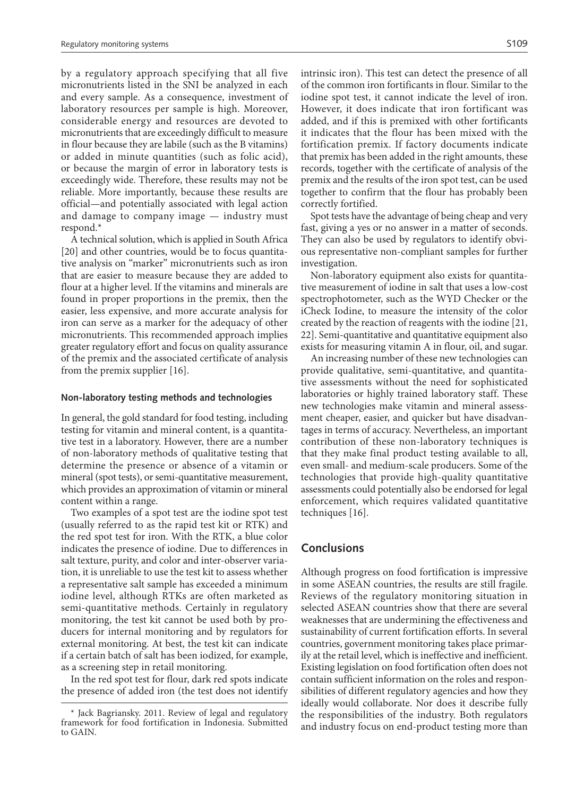by a regulatory approach specifying that all five micronutrients listed in the SNI be analyzed in each and every sample. As a consequence, investment of laboratory resources per sample is high. Moreover, considerable energy and resources are devoted to micronutrients that are exceedingly difficult to measure in flour because they are labile (such as the B vitamins) or added in minute quantities (such as folic acid), or because the margin of error in laboratory tests is exceedingly wide. Therefore, these results may not be reliable. More importantly, because these results are official—and potentially associated with legal action and damage to company image — industry must respond.\*

A technical solution, which is applied in South Africa [20] and other countries, would be to focus quantitative analysis on "marker" micronutrients such as iron that are easier to measure because they are added to flour at a higher level. If the vitamins and minerals are found in proper proportions in the premix, then the easier, less expensive, and more accurate analysis for iron can serve as a marker for the adequacy of other micronutrients. This recommended approach implies greater regulatory effort and focus on quality assurance of the premix and the associated certificate of analysis from the premix supplier [16].

#### **Non-laboratory testing methods and technologies**

In general, the gold standard for food testing, including testing for vitamin and mineral content, is a quantitative test in a laboratory. However, there are a number of non-laboratory methods of qualitative testing that determine the presence or absence of a vitamin or mineral (spot tests), or semi-quantitative measurement, which provides an approximation of vitamin or mineral content within a range.

Two examples of a spot test are the iodine spot test (usually referred to as the rapid test kit or RTK) and the red spot test for iron. With the RTK, a blue color indicates the presence of iodine. Due to differences in salt texture, purity, and color and inter-observer variation, it is unreliable to use the test kit to assess whether a representative salt sample has exceeded a minimum iodine level, although RTKs are often marketed as semi-quantitative methods. Certainly in regulatory monitoring, the test kit cannot be used both by producers for internal monitoring and by regulators for external monitoring. At best, the test kit can indicate if a certain batch of salt has been iodized, for example, as a screening step in retail monitoring.

In the red spot test for flour, dark red spots indicate the presence of added iron (the test does not identify

intrinsic iron). This test can detect the presence of all of the common iron fortificants in flour. Similar to the iodine spot test, it cannot indicate the level of iron. However, it does indicate that iron fortificant was added, and if this is premixed with other fortificants it indicates that the flour has been mixed with the fortification premix. If factory documents indicate that premix has been added in the right amounts, these records, together with the certificate of analysis of the premix and the results of the iron spot test, can be used together to confirm that the flour has probably been correctly fortified.

Spot tests have the advantage of being cheap and very fast, giving a yes or no answer in a matter of seconds. They can also be used by regulators to identify obvious representative non-compliant samples for further investigation.

Non-laboratory equipment also exists for quantitative measurement of iodine in salt that uses a low-cost spectrophotometer, such as the WYD Checker or the iCheck Iodine, to measure the intensity of the color created by the reaction of reagents with the iodine [21, 22]. Semi-quantitative and quantitative equipment also exists for measuring vitamin A in flour, oil, and sugar.

An increasing number of these new technologies can provide qualitative, semi-quantitative, and quantitative assessments without the need for sophisticated laboratories or highly trained laboratory staff. These new technologies make vitamin and mineral assessment cheaper, easier, and quicker but have disadvantages in terms of accuracy. Nevertheless, an important contribution of these non-laboratory techniques is that they make final product testing available to all, even small- and medium-scale producers. Some of the technologies that provide high-quality quantitative assessments could potentially also be endorsed for legal enforcement, which requires validated quantitative techniques [16].

# **Conclusions**

Although progress on food fortification is impressive in some ASEAN countries, the results are still fragile. Reviews of the regulatory monitoring situation in selected ASEAN countries show that there are several weaknesses that are undermining the effectiveness and sustainability of current fortification efforts. In several countries, government monitoring takes place primarily at the retail level, which is ineffective and inefficient. Existing legislation on food fortification often does not contain sufficient information on the roles and responsibilities of different regulatory agencies and how they ideally would collaborate. Nor does it describe fully the responsibilities of the industry. Both regulators and industry focus on end-product testing more than

<sup>\*</sup> Jack Bagriansky. 2011. Review of legal and regulatory framework for food fortification in Indonesia. Submitted to GAIN.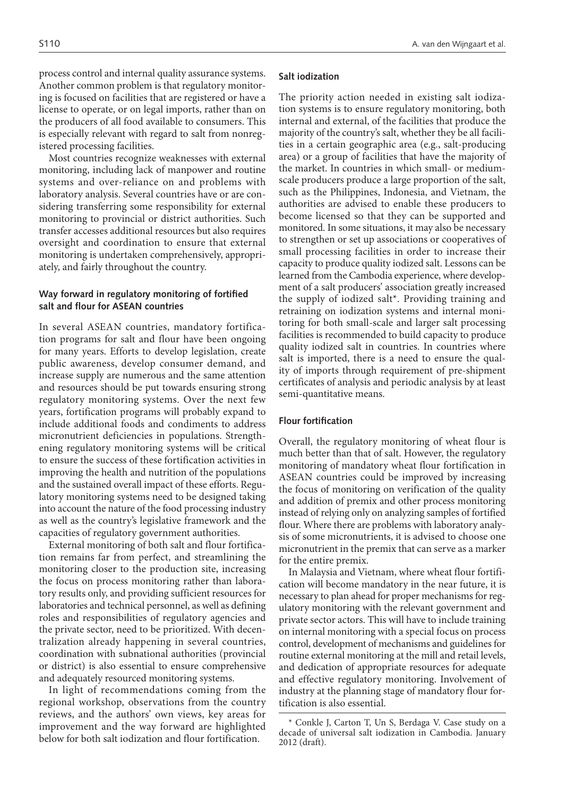process control and internal quality assurance systems. Another common problem is that regulatory monitoring is focused on facilities that are registered or have a license to operate, or on legal imports, rather than on the producers of all food available to consumers. This is especially relevant with regard to salt from nonregistered processing facilities.

Most countries recognize weaknesses with external monitoring, including lack of manpower and routine systems and over-reliance on and problems with laboratory analysis. Several countries have or are considering transferring some responsibility for external monitoring to provincial or district authorities. Such transfer accesses additional resources but also requires oversight and coordination to ensure that external monitoring is undertaken comprehensively, appropriately, and fairly throughout the country.

## **Way forward in regulatory monitoring of fortified salt and flour for ASEAN countries**

In several ASEAN countries, mandatory fortification programs for salt and flour have been ongoing for many years. Efforts to develop legislation, create public awareness, develop consumer demand, and increase supply are numerous and the same attention and resources should be put towards ensuring strong regulatory monitoring systems. Over the next few years, fortification programs will probably expand to include additional foods and condiments to address micronutrient deficiencies in populations. Strengthening regulatory monitoring systems will be critical to ensure the success of these fortification activities in improving the health and nutrition of the populations and the sustained overall impact of these efforts. Regulatory monitoring systems need to be designed taking into account the nature of the food processing industry as well as the country's legislative framework and the capacities of regulatory government authorities.

External monitoring of both salt and flour fortification remains far from perfect, and streamlining the monitoring closer to the production site, increasing the focus on process monitoring rather than laboratory results only, and providing sufficient resources for laboratories and technical personnel, as well as defining roles and responsibilities of regulatory agencies and the private sector, need to be prioritized. With decentralization already happening in several countries, coordination with subnational authorities (provincial or district) is also essential to ensure comprehensive and adequately resourced monitoring systems.

In light of recommendations coming from the regional workshop, observations from the country reviews, and the authors' own views, key areas for improvement and the way forward are highlighted below for both salt iodization and flour fortification.

## **Salt iodization**

The priority action needed in existing salt iodization systems is to ensure regulatory monitoring, both internal and external, of the facilities that produce the majority of the country's salt, whether they be all facilities in a certain geographic area (e.g., salt-producing area) or a group of facilities that have the majority of the market. In countries in which small- or mediumscale producers produce a large proportion of the salt, such as the Philippines, Indonesia, and Vietnam, the authorities are advised to enable these producers to become licensed so that they can be supported and monitored. In some situations, it may also be necessary to strengthen or set up associations or cooperatives of small processing facilities in order to increase their capacity to produce quality iodized salt. Lessons can be learned from the Cambodia experience, where development of a salt producers' association greatly increased the supply of iodized salt\*. Providing training and retraining on iodization systems and internal monitoring for both small-scale and larger salt processing facilities is recommended to build capacity to produce quality iodized salt in countries. In countries where salt is imported, there is a need to ensure the quality of imports through requirement of pre-shipment certificates of analysis and periodic analysis by at least semi-quantitative means.

## **Flour fortification**

Overall, the regulatory monitoring of wheat flour is much better than that of salt. However, the regulatory monitoring of mandatory wheat flour fortification in ASEAN countries could be improved by increasing the focus of monitoring on verification of the quality and addition of premix and other process monitoring instead of relying only on analyzing samples of fortified flour. Where there are problems with laboratory analysis of some micronutrients, it is advised to choose one micronutrient in the premix that can serve as a marker for the entire premix.

In Malaysia and Vietnam, where wheat flour fortification will become mandatory in the near future, it is necessary to plan ahead for proper mechanisms for regulatory monitoring with the relevant government and private sector actors. This will have to include training on internal monitoring with a special focus on process control, development of mechanisms and guidelines for routine external monitoring at the mill and retail levels, and dedication of appropriate resources for adequate and effective regulatory monitoring. Involvement of industry at the planning stage of mandatory flour fortification is also essential.

<sup>\*</sup> Conkle J, Carton T, Un S, Berdaga V. Case study on a decade of universal salt iodization in Cambodia. January 2012 (draft).